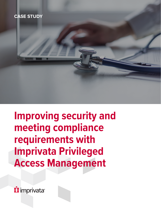### **CASE STUDY**



**i** imprivata®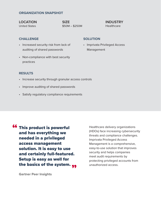#### **ORGANIZATION SNAPSHOT**

**LOCATION** United States

**SIZE** \$50M – \$250M **INDUSTRY Healthcare** 

#### **CHALLENGE**

- Increased security risk from lack of auditing of shared passwords
- Non-compliance with best security practices

#### **SOLUTION**

• Imprivata Privileged Access Management

#### **RESULTS**

- Increase security through granular access controls
- Improve auditing of shared passwords
- Satisfy regulatory compliance requirements

**66 This product is powerful**<br>and has everything we and has everything we needed in a privileged access management solution. It is easy to use and certainly full-featured. Setup is easy as well for the basics of the system. <sub>99</sub><br>Certres Beerlinishts

Healthcare delivery organizations (HDOs) face increasing cybersecurity threats and compliance challenges. Imprivata Privileged Access Management is a comprehensive, easy-to-use solution that improves security and helps companies meet audit requirements by protecting privileged accounts from unauthorized access.

**Gartner Peer Insights**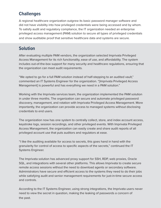# **Challenges**

A regional healthcare organization outgrew its basic password manager software and did not have visibility into how privileged credentials were being accessed and by whom. To satisfy audit and regulatory compliance, the IT organization needed an enterprise privileged access management (PAM) solution to secure all types of privileged credentials and show auditable proof that sensitive healthcare data and systems are secure.

# **Solution**

After evaluating multiple PAM vendors, the organization selected Imprivata Privileged Access Management for its rich functionality, ease of use, and affordability. The system includes out-of-the-box support for many security and healthcare regulations, ensuring that the organization can meet audit requirements.

"We opted to go for a full PAM solution instead of half-stepping to an audited vault," commented an IT Systems Engineer for the organization. "[Imprivata Privileged Access Management] is powerful and has everything we need in a PAM solution."

Working with the Imprivata services team, the organization implemented the PAM solution in under three months. The organization can secure and automate privileged password discovery, management, and rotation with Imprivata Privileged Access Management. More importantly, the organization can provide access to managed systems without disclosing credentials to end users.

The organization now has one system to centrally collect, store, and index account access, keystroke logs, session recordings, and other privileged events. With Imprivata Privileged Access Management, the organization can easily create and share audit reports of all privileged account use that puts auditors and regulators at ease.

"I like the auditing available for access to secrets, this goes hand in hand with the granularity for control of access to specific aspects of the secrets," continued the IT Systems Engineer.

The Imprivata solution has advanced proxy support for SSH, RDP, web proxies, Oracle SQL, and integrations with several other platforms. This allows Imprivata to create secure remote access sessions without the need to download agents or secondary software. Administrators have secure and efficient access to the systems they need to do their jobs while satisfying audit and senior management requirements for just-in-time secure access and controls.

According to the IT Systems Engineer, using strong integrations, the Imprivata users never need to view the secret in question, making the leaking of passwords a concern of the past.